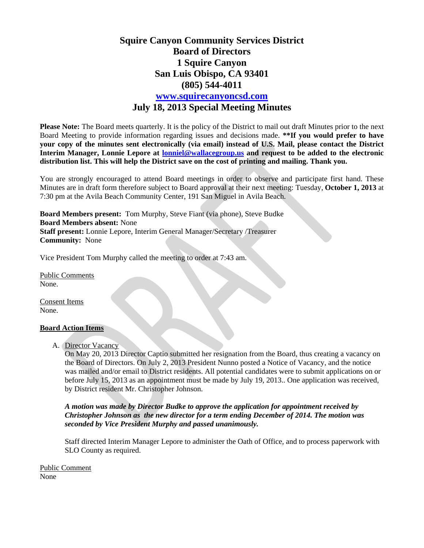## **Squire Canyon Community Services District Board of Directors 1 Squire Canyon San Luis Obispo, CA 93401 (805) 544-4011 www.squirecanyoncsd.com July 18, 2013 Special Meeting Minutes**

**Please Note:** The Board meets quarterly. It is the policy of the District to mail out draft Minutes prior to the next Board Meeting to provide information regarding issues and decisions made. **\*\*If you would prefer to have your copy of the minutes sent electronically (via email) instead of U.S. Mail, please contact the District Interim Manager, Lonnie Lepore at lonniel@wallacegroup.us and request to be added to the electronic distribution list. This will help the District save on the cost of printing and mailing. Thank you.** 

You are strongly encouraged to attend Board meetings in order to observe and participate first hand. These Minutes are in draft form therefore subject to Board approval at their next meeting: Tuesday, **October 1, 2013** at 7:30 pm at the Avila Beach Community Center, 191 San Miguel in Avila Beach.

**Board Members present:** Tom Murphy, Steve Fiant (via phone), Steve Budke **Board Members absent:** None **Staff present:** Lonnie Lepore, Interim General Manager/Secretary /Treasurer **Community:** None

Vice President Tom Murphy called the meeting to order at 7:43 am.

Public Comments None.

Consent Items None.

## **Board Action Items**

A. Director Vacancy

On May 20, 2013 Director Captio submitted her resignation from the Board, thus creating a vacancy on the Board of Directors. On July 2, 2013 President Nunno posted a Notice of Vacancy, and the notice was mailed and/or email to District residents. All potential candidates were to submit applications on or before July 15, 2013 as an appointment must be made by July 19, 2013.. One application was received, by District resident Mr. Christopher Johnson.

*A motion was made by Director Budke to approve the application for appointment received by Christopher Johnson as the new director for a term ending December of 2014. The motion was seconded by Vice President Murphy and passed unanimously.* 

Staff directed Interim Manager Lepore to administer the Oath of Office, and to process paperwork with SLO County as required.

Public Comment None